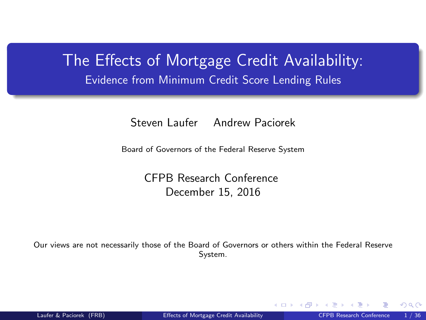<span id="page-0-0"></span>The Effects of Mortgage Credit Availability: Evidence from Minimum Credit Score Lending Rules

Steven Laufer Andrew Paciorek

Board of Governors of the Federal Reserve System

CFPB Research Conference December 15, 2016

Our views are not necessarily those of the Board of Governors or others within the Federal Reserve System.

റാ റ

**← ロ ▶ → イ 同**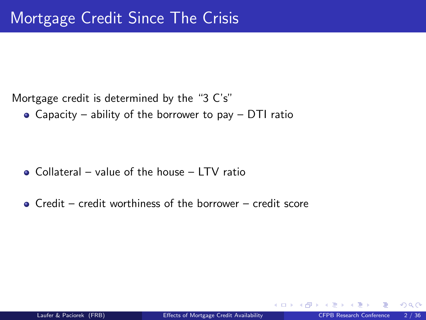• Capacity – ability of the borrower to pay – DTI ratio

- $\bullet$  Collateral value of the house LTV ratio
- $\bullet$  Credit credit worthiness of the borrower credit score

4 0 8

 $\Omega$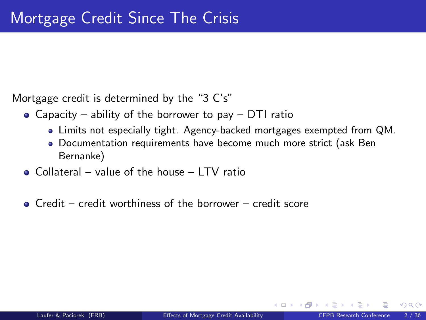- Capacity ability of the borrower to pay DTI ratio
	- Limits not especially tight. Agency-backed mortgages exempted from QM.
	- Documentation requirements have become much more strict (ask Ben Bernanke)
- Collateral value of the house LTV ratio
- $\bullet$  Credit credit worthiness of the borrower credit score

 $\Omega$ 

**←ロ ▶ ← イ 同 →**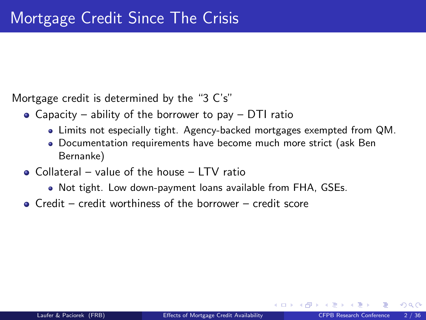- Capacity ability of the borrower to pay DTI ratio
	- Limits not especially tight. Agency-backed mortgages exempted from QM.
	- Documentation requirements have become much more strict (ask Ben Bernanke)
- Collateral value of the house LTV ratio
	- Not tight. Low down-payment loans available from FHA, GSEs.
- $\bullet$  Credit credit worthiness of the borrower credit score

 $\Omega$ 

**4 ロ ト 4 何 ト 4**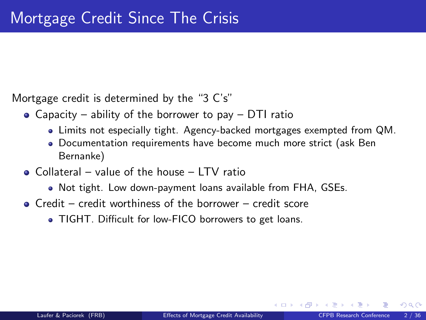- Capacity ability of the borrower to pay DTI ratio
	- Limits not especially tight. Agency-backed mortgages exempted from QM.
	- Documentation requirements have become much more strict (ask Ben Bernanke)
- Collateral value of the house LTV ratio
	- Not tight. Low down-payment loans available from FHA, GSEs.
- $\bullet$  Credit credit worthiness of the borrower credit score
	- TIGHT. Difficult for low-FICO borrowers to get loans.

 $\Omega$ 

**4 ロ ト 4 何 ト 4**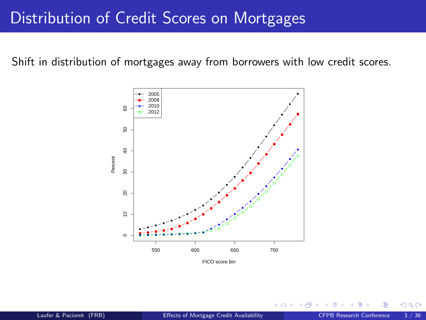#### Distribution of Credit Scores on Mortgages

Shift in distribution of mortgages away from borrowers with low credit scores.



4.0.3

 $\Omega$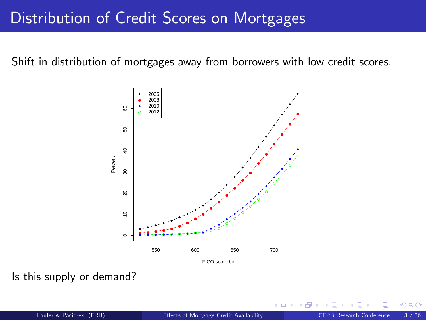### Distribution of Credit Scores on Mortgages

Shift in distribution of mortgages away from borrowers with low credit scores.



Is this supply or demand?

4.0.3

 $\Omega$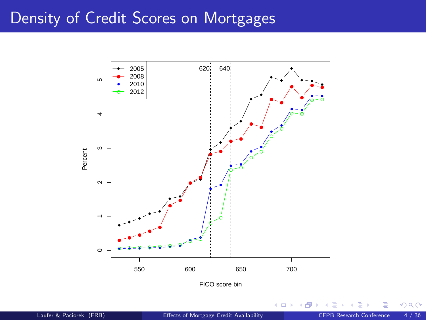#### Density of Credit Scores on Mortgages



 $\leftarrow$   $\Box$ → 母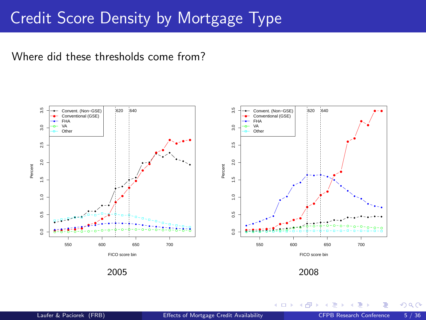### Credit Score Density by Mortgage Type

Where did these thresholds come from?



4 0 8 一个问  $QQ$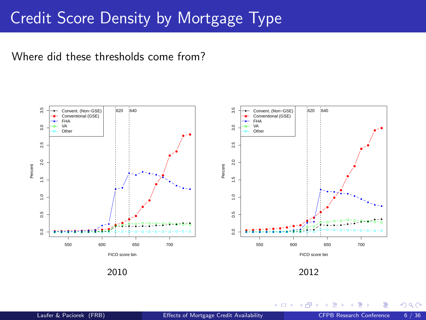# Credit Score Density by Mortgage Type

Where did these thresholds come from?



**← ロ ▶ → イ 同**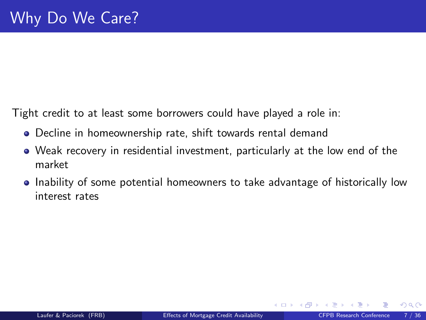Tight credit to at least some borrowers could have played a role in:

- Decline in homeownership rate, shift towards rental demand
- Weak recovery in residential investment, particularly at the low end of the market
- Inability of some potential homeowners to take advantage of historically low interest rates

 $\Omega$ 

**←ロ ▶ ← イ 同 →**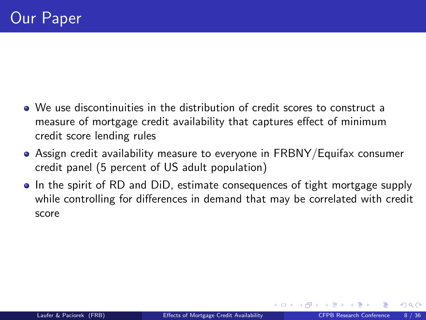- We use discontinuities in the distribution of credit scores to construct a measure of mortgage credit availability that captures effect of minimum credit score lending rules
- Assign credit availability measure to everyone in FRBNY/Equifax consumer credit panel (5 percent of US adult population)
- In the spirit of RD and DiD, estimate consequences of tight mortgage supply while controlling for differences in demand that may be correlated with credit score

**4 ロ ト 4 何 ト 4**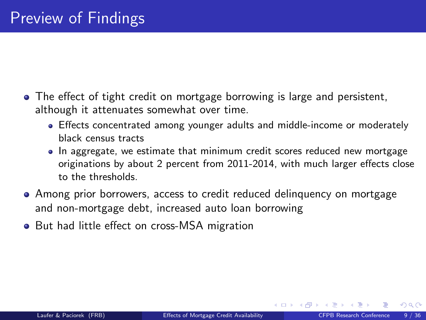- The effect of tight credit on mortgage borrowing is large and persistent, although it attenuates somewhat over time.
	- Effects concentrated among younger adults and middle-income or moderately black census tracts
	- In aggregate, we estimate that minimum credit scores reduced new mortgage originations by about 2 percent from 2011-2014, with much larger effects close to the thresholds.
- Among prior borrowers, access to credit reduced delinquency on mortgage and non-mortgage debt, increased auto loan borrowing
- But had little effect on cross-MSA migration

**K ロ ▶ K 何 ▶ K 手**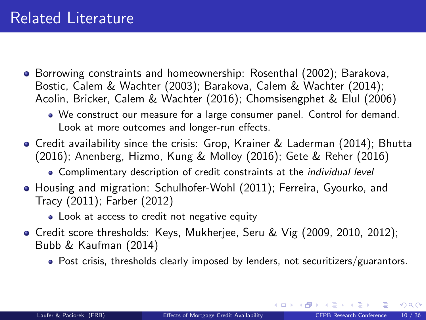- <span id="page-13-0"></span>**Borrowing constraints and homeownership: Rosenthal (2002); Barakova,** Bostic, Calem & Wachter (2003); Barakova, Calem & Wachter (2014); Acolin, Bricker, Calem & Wachter (2016); Chomsisengphet & Elul (2006)
	- We construct our measure for a large consumer panel. Control for demand. Look at more outcomes and longer-run effects.
- Credit availability since the crisis: Grop, Krainer & Laderman (2014); Bhutta (2016); Anenberg, Hizmo, Kung & Molloy (2016); Gete & Reher (2016)
	- Complimentary description of credit constraints at the *individual level*
- Housing and migration: Schulhofer-Wohl (2011); Ferreira, Gyourko, and Tracy (2011); Farber (2012)
	- Look at access to credit not negative equity
- Credit score thresholds: Keys, Mukherjee, Seru & Vig (2009, 2010, 2012); Bubb & Kaufman (2014)
	- Post crisis, thresholds clearly imposed by lenders, not securitizers/guarantors.

イロト イ押 トイヨ トイヨ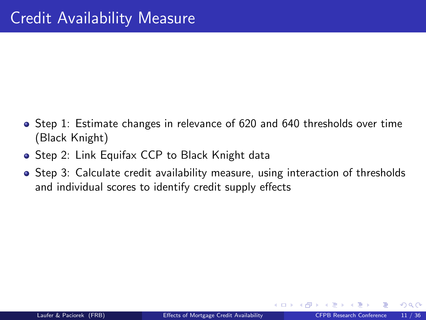- <span id="page-14-0"></span>• Step 1: Estimate changes in relevance of 620 and 640 thresholds over time (Black Knight)
- **Step 2: Link Equifax CCP to Black Knight data**
- Step 3: Calculate credit availability measure, using interaction of thresholds and individual scores to identify credit supply effects

**←ロ ▶ ← イ 同 →**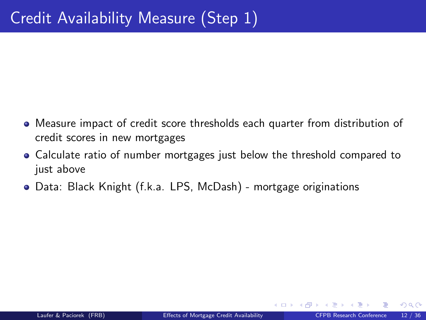- <span id="page-15-0"></span>Measure impact of credit score thresholds each quarter from distribution of credit scores in new mortgages
- Calculate ratio of number mortgages just below the threshold compared to just above
- Data: Black Knight (f.k.a. LPS, McDash) mortgage originations

**← ロ ▶ → イ 同 →**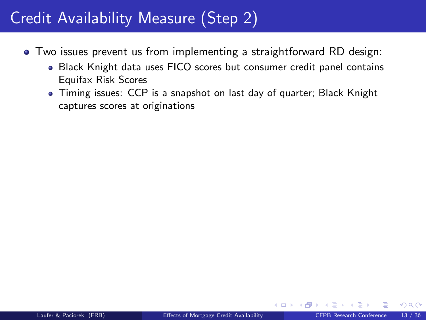- <span id="page-16-0"></span>Two issues prevent us from implementing a straightforward RD design:
	- Black Knight data uses FICO scores but consumer credit panel contains Equifax Risk Scores
	- Timing issues: CCP is a snapshot on last day of quarter; Black Knight captures scores at originations

 $\Omega$ 

**←ロ ▶ ← イ 同 →**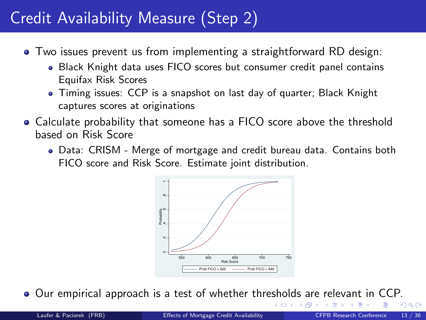- <span id="page-17-0"></span>Two issues prevent us from implementing a straightforward RD design:
	- Black Knight data uses FICO scores but consumer credit panel contains Equifax Risk Scores
	- Timing issues: CCP is a snapshot on last day of quarter; Black Knight captures scores at originations
- Calculate probability that someone has a FICO score above the threshold based on Risk Score
	- Data: CRISM Merge of mortgage and credit bureau data. Contains both FICO score and Risk Score. Estimate joint distribution.



Our empirical approach is a test of whether thre[sh](#page-16-0)o[ld](#page-18-0)[s](#page-15-0) [a](#page-16-0)[r](#page-17-0)[e](#page-18-0) [r](#page-13-0)[el](#page-14-0)[e](#page-25-0)[v](#page-26-0)[an](#page-13-0)[t](#page-14-0)[in](#page-26-0) [C](#page-0-0)[CP](#page-46-0).

 $\Omega$ 

 $\rightarrow$   $\Box$ 

4 D F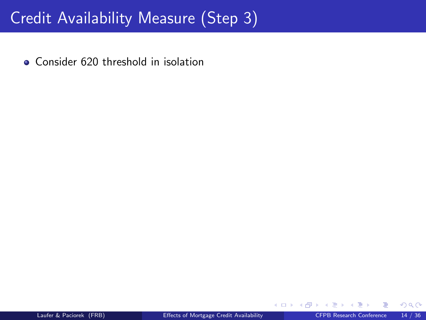<span id="page-18-0"></span>• Consider 620 threshold in isolation

 $\Omega$ 

**←ロ ▶ ← イ 同 →**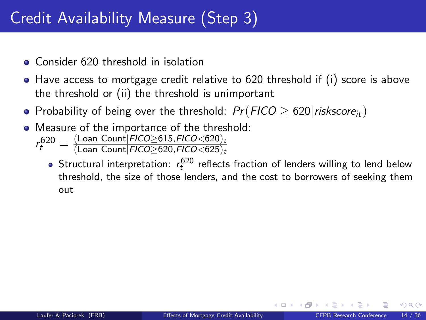- **Consider 620 threshold in isolation**
- $\bullet$  Have access to mortgage credit relative to 620 threshold if (i) score is above the threshold or (ii) the threshold is unimportant
- Probability of being over the threshold:  $Pr(FICO \ge 620|{\text{riskscore}_{it}})$
- Measure of the importance of the threshold:

 $r_t^{620} = \frac{(\text{Loan Count}|FICO \geq 615,FICO < 620)_t}{(\text{Loan Count}|FICO > 620,FICO < 625)_t}$ 

 $(\mathsf{Loan}\ \mathsf{Count}|\mathsf{FICO}{\geq}620,\mathsf{FICO}{<}625)_t$ 

Structural interpretation:  $r_t^{620}$  reflects fraction of lenders willing to lend below threshold, the size of those lenders, and the cost to borrowers of seeking them out

റാ റ

**4 ロ ト 4 何 ト 4**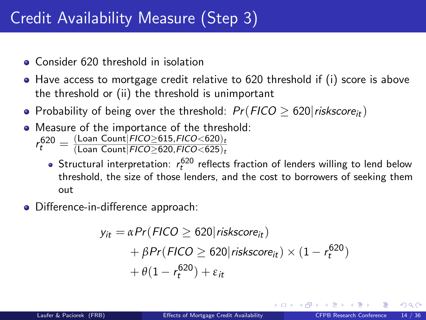- **Consider 620 threshold in isolation**
- $\bullet$  Have access to mortgage credit relative to 620 threshold if (i) score is above the threshold or (ii) the threshold is unimportant
- Probability of being over the threshold:  $Pr(FICO > 620|riskscore_{it})$
- Measure of the importance of the threshold:

 $r_t^{620} = \frac{(\text{Loan Count}|FICO \geq 615,FICO < 620)_t}{(\text{Loan Count}|FICO > 620,FICO < 625)_t}$  $(\mathsf{Loan}\ \mathsf{Count}|\mathsf{FICO}{\geq}620,\mathsf{FICO}{<}625)_t$ 

- Structural interpretation:  $r_t^{620}$  reflects fraction of lenders willing to lend below threshold, the size of those lenders, and the cost to borrowers of seeking them out
- Difference-in-difference approach:

$$
y_{it} = \alpha Pr(FICO \ge 620|riskscore_{it})
$$
  
+  $\beta Pr(FICO \ge 620|riskscore_{it}) \times (1 - r_t^{620})$   
+  $\theta(1 - r_t^{620}) + \varepsilon_{it}$ 

റാ റ

**K ロ ▶ K 何 ▶ K**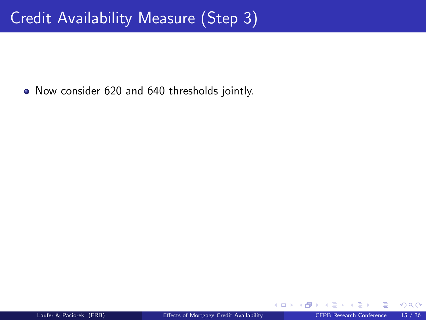• Now consider 620 and 640 thresholds jointly.

**← ロ ▶ → イ 同 →**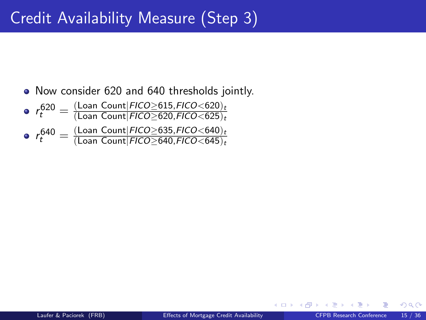• Now consider 620 and 640 thresholds jointly.

\n- \n
$$
r_t^{620} = \frac{(\text{Lean Count}|FICO \geq 615, FICO < 620)_t}{(\text{Lean Count}|FICO \geq 620, FICO < 625)_t}
$$
\n
\n- \n
$$
r_t^{640} = \frac{(\text{Lean Count}|FICO \geq 635, FICO < 640)_t}{(\text{Lean Count}|FICO \geq 640, FICO < 645)_t}
$$
\n
\n

**← ロ ▶ → イ 同 →**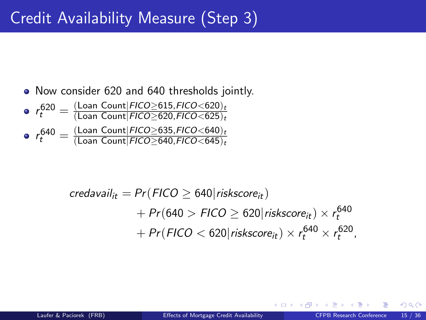• Now consider 620 and 640 thresholds jointly.

\n- \n
$$
r_t^{620} = \frac{(\text{Lean Count}|\text{FICO} \geq 615, \text{FICO} < 620)_t}{(\text{Lean Count}|\text{FICO} \geq 620, \text{FICO} < 625)_t}
$$
\n
\n- \n
$$
r_t^{640} = \frac{(\text{Lean Count}|\text{FICO} \geq 635, \text{FICO} < 640)_t}{(\text{Lean Count}|\text{FICO} \geq 640, \text{FICO} < 645)_t}
$$
\n
\n

$$
credavail_{it} = Pr(FIGO \ge 640| \text{riskscore}_{it})
$$
  
+ Pr(640 > FICO \ge 620| \text{riskscore}\_{it}) \times r\_t^{640}  
+ Pr( FICO < 620| \text{riskscore}\_{it}) \times r\_t^{640} \times r\_t^{620},

**←ロ ▶ ← イ 同 →** 

 $QQ$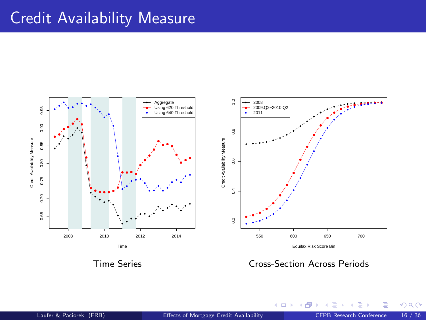### Credit Availability Measure



(□ ) ( ) ( )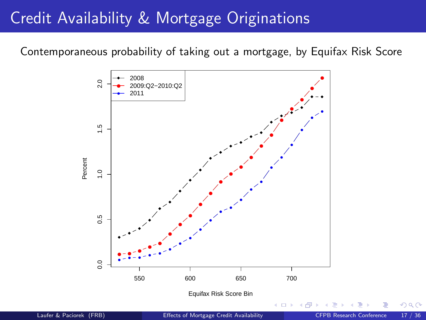### <span id="page-25-0"></span>Credit Availability & Mortgage Originations

Contemporaneous probability of taking out a mortgage, by Equifax Risk Score



Equifax Risk Score Bin

 $\leftarrow$ 

 $\Omega$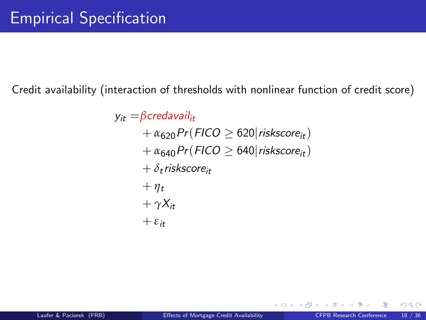<span id="page-26-0"></span>Credit availability (interaction of thresholds with nonlinear function of credit score)

 $y_{it} = \beta$ credavail<sub>it</sub>  $+ \alpha_{620}Pr(FICO > 620|riskscore_{it})$  $+ \alpha_{640}Pr(FICO \geq 640|riskscore_{it})$  $+ \delta_t$ riskscore<sub>it</sub>  $+$   $\eta_t$  $+\gamma X_{it}$  $+$   $\varepsilon$ <sub>it</sub>

 $\Omega$ 

**←ロ ▶ ← イ 同 →**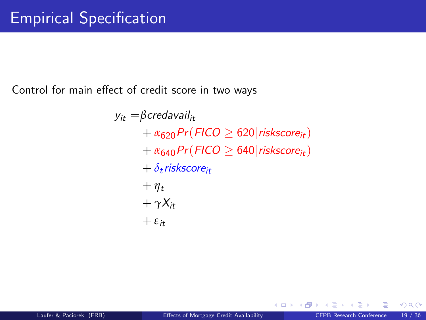Control for main effect of credit score in two ways

 $y_{it} = \beta$ credavail<sub>it</sub>  $+ \alpha_{620}Pr(FICO \geq 620|riskscore_{it})$  $+ \alpha_{640}Pr(FICO \geq 640|riskscore_{it})$  $+ \delta_t$ riskscore<sub>it</sub>  $+ \eta_t$  $+\gamma X_{it}$  $+$   $\varepsilon$ <sub>it</sub>

 $\Omega$ 

**← ロ ▶ → イ 同 →**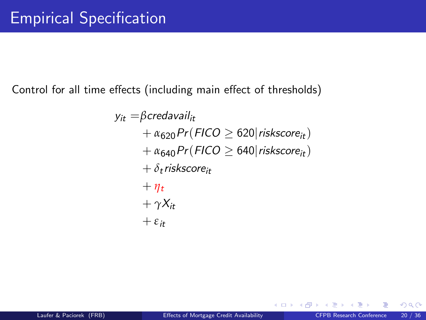Control for all time effects (including main effect of thresholds)

 $y_{it} = \beta$ credavail<sub>it</sub>  $+ \alpha_{620}Pr(FICO \geq 620|riskscore_{it})$  $+ \alpha_{640}Pr(FICO \geq 640|riskscore_{it})$  $+ \delta_t$ riskscore<sub>it</sub>  $+$   $\eta_t$  $+\gamma X_{it}$  $+$   $\varepsilon$ <sub>it</sub>

 $\Omega$ 

**←ロ ▶ ← イ 同 →**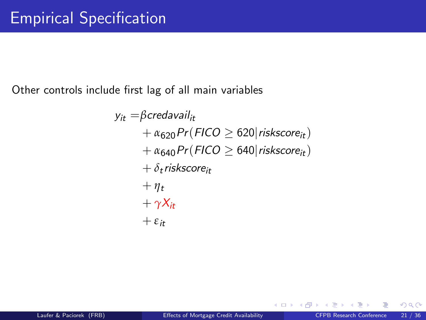Other controls include first lag of all main variables

 $y_{it} = \beta$ credavail<sub>it</sub>  $+ \alpha_{620}Pr(FICO \geq 620|riskscore_{it})$  $+ \alpha_{640}Pr(FICO \geq 640|riskscore_{it})$  $+ \delta_t$ riskscore<sub>it</sub>  $+ \eta_t$  $+\gamma X_{it}$  $+$   $\varepsilon$ <sub>it</sub>

 $\Omega$ 

**← ロ ▶ → イ 同 →**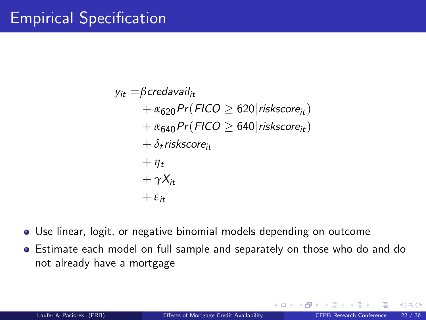<span id="page-30-0"></span> $y_{it} = \beta$ credavail<sub>it</sub>  $+ \alpha_{620}Pr(FICO \geq 620|riskscore_{it})$  $+ \alpha_{640}Pr(FICO \geq 640|riskscore_{it})$  $+ \delta_t$ riskscore<sub>it</sub>  $+ \eta_t$  $+\gamma X_{it}$  $+$ *ε*<sub>it</sub>

- Use linear, logit, or negative binomial models depending on outcome
- Estimate each model on full sample and separately on those who do and do not already have a mortgage

 $\Omega$ 

**K ロ ▶ K 何 ▶ K**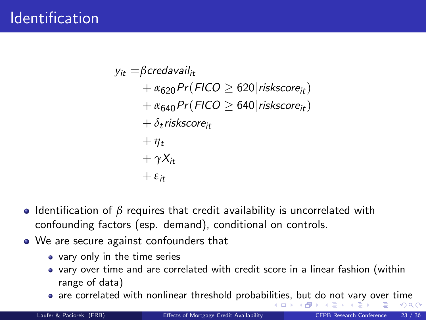<span id="page-31-0"></span> $y_{it} = \beta$ credavail<sub>it</sub>  $+ \alpha_{620}Pr(FICO > 620|riskscore_{it})$  $+ \alpha_{640}Pr(FICO > 640|riskscore_{it})$  $+ \delta_t$ riskscore<sub>it</sub>  $+\eta_t$  $+\gamma X_{it}$  $+$   $\varepsilon$ <sub>it</sub>

- Identification of  $\beta$  requires that credit availability is uncorrelated with confounding factors (esp. demand), conditional on controls.
- We are secure against confounders that
	- vary only in the time series
	- vary over time and are correlated with credit score in a linear fashion (within range of data)
	- are correlated with nonlinear threshold probabi[litie](#page-30-0)[s,](#page-32-0) [b](#page-30-0)[ut](#page-31-0) [d](#page-32-0)[o](#page-31-0) [n](#page-26-0)o[t](#page-32-0) [v](#page-25-0)[ar](#page-26-0)[y](#page-31-0) [o](#page-32-0)[ve](#page-0-0)[r ti](#page-46-0)me  $-10<sup>-10</sup>$ → 母  $\Omega$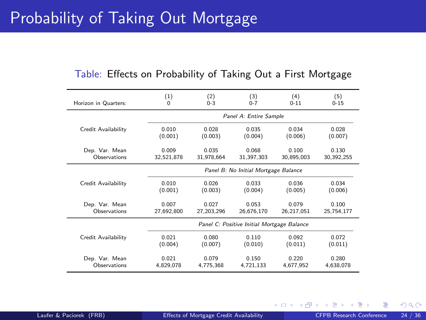# <span id="page-32-0"></span>Probability of Taking Out Mortgage

| Table: Effects on Probability of Taking Out a First Mortgage |  |  |  |  |  |
|--------------------------------------------------------------|--|--|--|--|--|
|--------------------------------------------------------------|--|--|--|--|--|

| Horizon in Quarters: | (1)                                        | (2)                    | (3)                                  | (4)        | (5)        |  |
|----------------------|--------------------------------------------|------------------------|--------------------------------------|------------|------------|--|
|                      | 0                                          | $0 - 3$                | $0 - 7$                              | $0 - 11$   | $0 - 15$   |  |
|                      |                                            | Panel A: Entire Sample |                                      |            |            |  |
| Credit Availability  | 0.010                                      | 0.028                  | 0.035                                | 0.034      | 0.028      |  |
|                      | (0.001)                                    | (0.003)                | (0.004)                              | (0.006)    | (0.007)    |  |
| Dep. Var. Mean       | 0.009                                      | 0.035                  | 0.068                                | 0.100      | 0.130      |  |
| Observations         | 32,521,878                                 | 31.978.664             | 31,397,303                           | 30,895,003 | 30,392,255 |  |
|                      |                                            |                        | Panel B: No Initial Mortgage Balance |            |            |  |
| Credit Availability  | 0.010                                      | 0.026                  | 0.033                                | 0.036      | 0.034      |  |
|                      | (0.001)                                    | (0.003)                | (0.004)                              | (0.005)    | (0.006)    |  |
| Dep. Var. Mean       | 0.007                                      | 0.027                  | 0.053                                | 0.079      | 0.100      |  |
| Observations         | 27,692,800                                 | 27,203,296             | 26,676,170                           | 26,217,051 | 25,754,177 |  |
|                      | Panel C: Positive Initial Mortgage Balance |                        |                                      |            |            |  |
| Credit Availability  | 0.021                                      | 0.080                  | 0.110                                | 0.092      | 0.072      |  |
|                      | (0.004)                                    | (0.007)                | (0.010)                              | (0.011)    | (0.011)    |  |
| Dep. Var. Mean       | 0.021                                      | 0.079                  | 0.150                                | 0.220      | 0.280      |  |
| Observations         | 4,829,078                                  | 4,775,368              | 4,721,133                            | 4.677.952  | 4.638.078  |  |

∍

 $299$ 

**K ロ ▶ K 倒 ▶ K** 

Ξ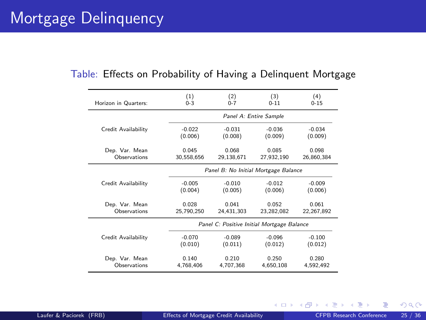### Mortgage Delinquency

| Horizon in Quarters: | (1)        | (2)                                        | (3)        | (4)          |  |  |
|----------------------|------------|--------------------------------------------|------------|--------------|--|--|
|                      | $0 - 3$    | $0 - 7$                                    | $0 - 11$   | $0 - 15$     |  |  |
|                      |            | Panel A: Entire Sample                     |            |              |  |  |
| Credit Availability  | $-0.022$   | $-0.031$                                   | $-0.036$   | $-0.034$     |  |  |
|                      | (0.006)    | (0.008)                                    | (0.009)    | (0.009)      |  |  |
| Dep. Var. Mean       | 0.045      | 0.068                                      | 0.085      | 0.098        |  |  |
| Observations         | 30,558,656 | 29,138,671                                 | 27,932,190 | 26,860,384   |  |  |
|                      |            | Panel B: No Initial Mortgage Balance       |            |              |  |  |
| Credit Availability  | $-0.005$   | $-0.010$                                   | $-0.012$   | $-0.009$     |  |  |
|                      | (0.004)    | (0.005)                                    | (0.006)    | (0.006)      |  |  |
| Dep. Var. Mean       | 0.028      | 0.041                                      | 0.052      | 0.061        |  |  |
| Observations         | 25,790,250 | 24.431.303                                 | 23,282,082 | 22, 267, 892 |  |  |
|                      |            | Panel C: Positive Initial Mortgage Balance |            |              |  |  |
| Credit Availability  | $-0.070$   | $-0.089$                                   | $-0.096$   | $-0.100$     |  |  |
|                      | (0.010)    | (0.011)                                    | (0.012)    | (0.012)      |  |  |
| Dep. Var. Mean       | 0.140      | 0.210                                      | 0.250      | 0.280        |  |  |
| Observations         | 4.768.406  | 4.707.368                                  | 4.650.108  | 4.592.492    |  |  |
|                      |            |                                            |            |              |  |  |

#### Table: Effects on Probability of Having a Delinquent Mortgage

**K ロ ⊁ K 倒 ≯ K 差 ≯ K**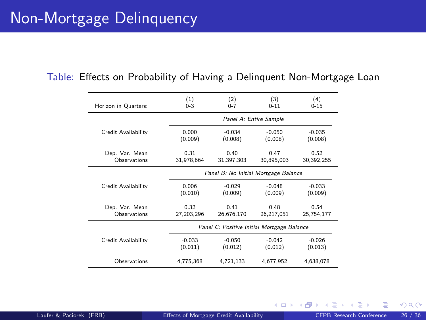| Horizon in Quarters: | (1)                                        | (2)        | (3)        | (4)        |  |
|----------------------|--------------------------------------------|------------|------------|------------|--|
|                      | $0 - 3$                                    | $0 - 7$    | $0 - 11$   | $0 - 15$   |  |
|                      | Panel A: Entire Sample                     |            |            |            |  |
| Credit Availability  | 0.000                                      | $-0.034$   | $-0.050$   | $-0.035$   |  |
|                      | (0.009)                                    | (0.008)    | (0.008)    | (0.008)    |  |
| Dep. Var. Mean       | 0.31                                       | 0.40       | 0.47       | 0.52       |  |
| Observations         | 31.978.664                                 | 31,397,303 | 30,895,003 | 30,392,255 |  |
|                      | Panel B: No Initial Mortgage Balance       |            |            |            |  |
| Credit Availability  | 0.006                                      | $-0.029$   | $-0.048$   | $-0.033$   |  |
|                      | (0.010)                                    | (0.009)    | (0.009)    | (0.009)    |  |
| Dep. Var. Mean       | 0.32                                       | 0.41       | 0.48       | 0.54       |  |
| Observations         | 27,203,296                                 | 26,676,170 | 26,217,051 | 25,754,177 |  |
|                      | Panel C: Positive Initial Mortgage Balance |            |            |            |  |
| Credit Availability  | $-0.033$                                   | $-0.050$   | $-0.042$   | $-0.026$   |  |
|                      | (0.011)                                    | (0.012)    | (0.012)    | (0.013)    |  |
| Observations         | 4,775,368                                  | 4,721,133  | 4,677,952  | 4,638,078  |  |

#### Table: Effects on Probability of Having a Delinquent Non-Mortgage Loan

 $\Omega$ 

**4 ロ ト 4 何 ト 4**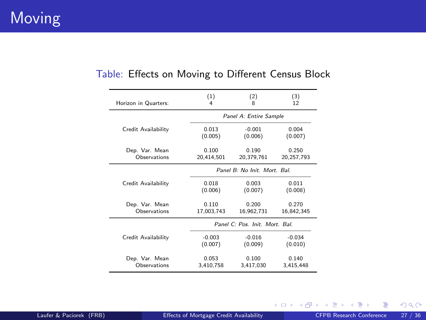#### **Moving**

| Horizon in Quarters: | (1)                            | (2)        | (3)        |  |
|----------------------|--------------------------------|------------|------------|--|
|                      | 4                              | 8          | 12         |  |
|                      | Panel A: Entire Sample         |            |            |  |
| Credit Availability  | 0.013                          | $-0.001$   | 0.004      |  |
|                      | (0.005)                        | (0.006)    | (0.007)    |  |
| Dep. Var. Mean       | 0.100                          | 0.190      | 0.250      |  |
| Observations         | 20.414.501                     | 20,379,761 | 20,257,793 |  |
|                      | Panel B: No Init. Mort. Bal.   |            |            |  |
| Credit Availability  | 0.018                          | 0.003      | 0.011      |  |
|                      | (0.006)                        | (0.007)    | (0.008)    |  |
| Dep. Var. Mean       | 0.110                          | 0.200      | 0.270      |  |
| Observations         | 17,003,743                     | 16,962,731 | 16,842,345 |  |
|                      | Panel C: Pos. Init. Mort. Bal. |            |            |  |
| Credit Availability  | $-0.003$                       | $-0.016$   | $-0.034$   |  |
|                      | (0.007)                        | (0.009)    | (0.010)    |  |
| Dep. Var. Mean       | 0.053                          | 0.100      | 0.140      |  |
| Observations         | 3,410,758                      | 3,417,030  | 3,415,448  |  |

#### Table: Effects on Moving to Different Census Block

重

 $299$ 

メロメ メタメ メミメ メ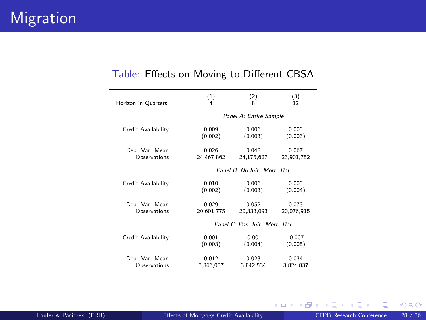| (1)<br>(2)<br>(3)<br>Horizon in Quarters:<br>8<br>12<br>4<br>Panel A: Entire Sample<br>0.003<br>Credit Availability<br>0.009<br>0.006<br>(0.003)<br>(0.003)<br>(0.002)<br>0.026<br>0.048<br>Dep. Var. Mean<br>0.067<br>Observations<br>24,467,862<br>24,175,627<br>Panel B: No Init. Mort. Bal.<br>0.003<br>0.010<br>0.006<br>Credit Availability<br>(0.002)<br>(0.003)<br>(0.004)<br>Dep. Var. Mean<br>0.029<br>0.052<br>0.073<br>Observations<br>20,601,775<br>20,333,093<br>Panel C: Pos. Init. Mort. Bal.<br>$-0.001$<br>0.001<br>$-0.007$<br>Credit Availability<br>(0.003)<br>(0.004)<br>(0.005)<br>0.012<br>0.023<br>0.034<br>Dep. Var. Mean<br>Observations<br>3.866.087<br>3,842,534 |  |  |            |  |  |
|-----------------------------------------------------------------------------------------------------------------------------------------------------------------------------------------------------------------------------------------------------------------------------------------------------------------------------------------------------------------------------------------------------------------------------------------------------------------------------------------------------------------------------------------------------------------------------------------------------------------------------------------------------------------------------------------------|--|--|------------|--|--|
|                                                                                                                                                                                                                                                                                                                                                                                                                                                                                                                                                                                                                                                                                               |  |  |            |  |  |
|                                                                                                                                                                                                                                                                                                                                                                                                                                                                                                                                                                                                                                                                                               |  |  |            |  |  |
|                                                                                                                                                                                                                                                                                                                                                                                                                                                                                                                                                                                                                                                                                               |  |  |            |  |  |
|                                                                                                                                                                                                                                                                                                                                                                                                                                                                                                                                                                                                                                                                                               |  |  | 23,901,752 |  |  |
|                                                                                                                                                                                                                                                                                                                                                                                                                                                                                                                                                                                                                                                                                               |  |  |            |  |  |
|                                                                                                                                                                                                                                                                                                                                                                                                                                                                                                                                                                                                                                                                                               |  |  |            |  |  |
|                                                                                                                                                                                                                                                                                                                                                                                                                                                                                                                                                                                                                                                                                               |  |  | 20,076,915 |  |  |
|                                                                                                                                                                                                                                                                                                                                                                                                                                                                                                                                                                                                                                                                                               |  |  |            |  |  |
|                                                                                                                                                                                                                                                                                                                                                                                                                                                                                                                                                                                                                                                                                               |  |  |            |  |  |
|                                                                                                                                                                                                                                                                                                                                                                                                                                                                                                                                                                                                                                                                                               |  |  | 3.824.837  |  |  |

#### Table: Effects on Moving to Different CBSA

重

 $299$ 

メロメ メ御き メミメ メミ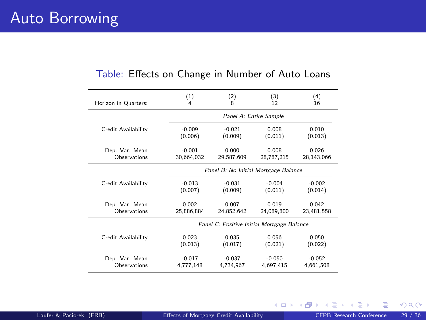| Horizon in Quarters: | (1)                                        | (2)        | (3)        | (4)        |
|----------------------|--------------------------------------------|------------|------------|------------|
|                      | 4                                          | 8          | 12         | 16         |
|                      | Panel A: Entire Sample                     |            |            |            |
| Credit Availability  | $-0.009$                                   | $-0.021$   | 0.008      | 0.010      |
|                      | (0.006)                                    | (0.009)    | (0.011)    | (0.013)    |
| Dep. Var. Mean       | $-0.001$                                   | 0.000      | 0.008      | 0.026      |
| Observations         | 30.664.032                                 | 29,587,609 | 28,787,215 | 28,143,066 |
|                      | Panel B: No Initial Mortgage Balance       |            |            |            |
| Credit Availability  | $-0.013$                                   | $-0.031$   | $-0.004$   | $-0.002$   |
|                      | (0.007)                                    | (0.009)    | (0.011)    | (0.014)    |
| Dep. Var. Mean       | 0.002                                      | 0.007      | 0.019      | 0.042      |
| Observations         | 25.886.884                                 | 24,852,642 | 24.089.800 | 23,481,558 |
|                      | Panel C: Positive Initial Mortgage Balance |            |            |            |
| Credit Availability  | 0.023                                      | 0.035      | 0.056      | 0.050      |
|                      | (0.013)                                    | (0.017)    | (0.021)    | (0.022)    |
| Dep. Var. Mean       | $-0.017$                                   | $-0.037$   | $-0.050$   | $-0.052$   |
| Observations         | 4.777.148                                  | 4.734.967  | 4.697.415  | 4.661.508  |

#### Table: Effects on Change in Number of Auto Loans

 $\sim$ 

 $299$ 

**K ロ ▶ イ 伊 ▶ イ ヨ**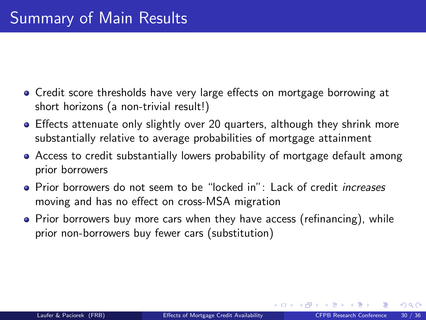- Credit score thresholds have very large effects on mortgage borrowing at short horizons (a non-trivial result!)
- Effects attenuate only slightly over 20 quarters, although they shrink more substantially relative to average probabilities of mortgage attainment
- Access to credit substantially lowers probability of mortgage default among prior borrowers
- Prior borrowers do not seem to be "locked in": Lack of credit *increases* moving and has no effect on cross-MSA migration
- Prior borrowers buy more cars when they have access (refinancing), while prior non-borrowers buy fewer cars (substitution)

**K ロ ト K 何 ト K 目**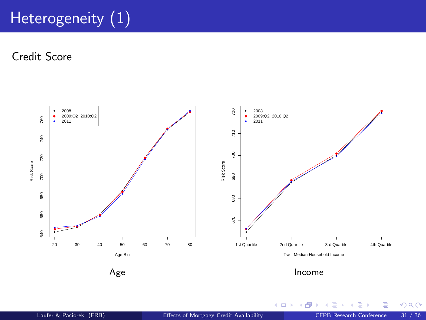# Heterogeneity  $(1)$

Credit Score



 $299$ 

(ロ) ( d )

 $\mathcal{A}$ Þ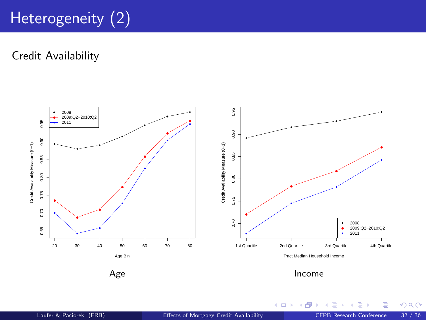# Heterogeneity (2)

Credit Availability



Income

(ロ) ( d )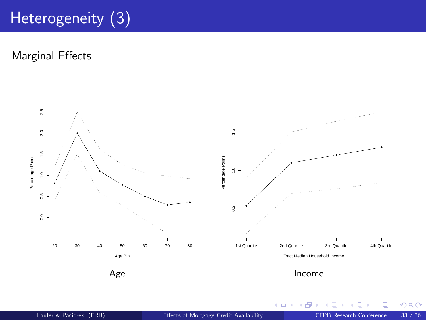# Heterogeneity (3)

Marginal Effects



Income

**K ロ ⊁ K 倒 ⊁ K** 

B ×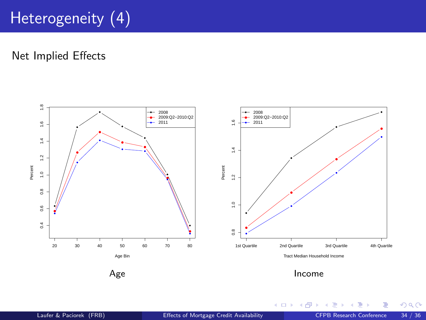# Heterogeneity (4)

Net Implied Effects



Ξ ×

**K ロ ⊁ K 倒 ⊁ K**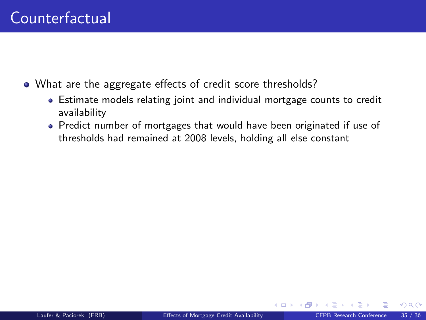- What are the aggregate effects of credit score thresholds?
	- Estimate models relating joint and individual mortgage counts to credit availability
	- Predict number of mortgages that would have been originated if use of thresholds had remained at 2008 levels, holding all else constant

**←ロ ▶ ← イ 同 →**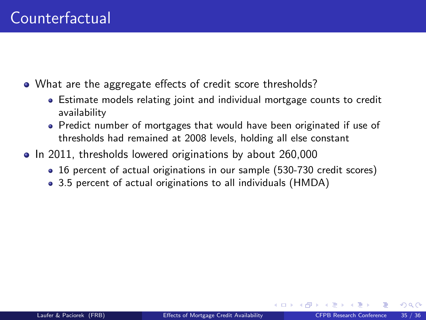- What are the aggregate effects of credit score thresholds?
	- Estimate models relating joint and individual mortgage counts to credit availability
	- Predict number of mortgages that would have been originated if use of thresholds had remained at 2008 levels, holding all else constant
- In 2011, thresholds lowered originations by about 260,000
	- 16 percent of actual originations in our sample (530-730 credit scores)
	- 3.5 percent of actual originations to all individuals (HMDA)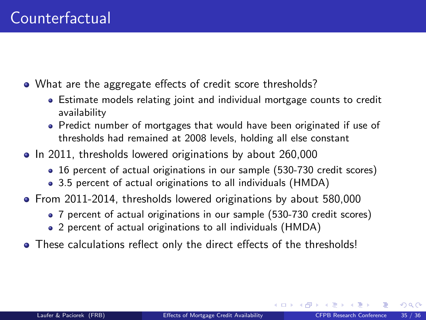- What are the aggregate effects of credit score thresholds?
	- Estimate models relating joint and individual mortgage counts to credit availability
	- Predict number of mortgages that would have been originated if use of thresholds had remained at 2008 levels, holding all else constant
- In 2011, thresholds lowered originations by about 260,000
	- 16 percent of actual originations in our sample (530-730 credit scores)
	- 3.5 percent of actual originations to all individuals (HMDA)
- From 2011-2014, thresholds lowered originations by about 580,000
	- 7 percent of actual originations in our sample (530-730 credit scores)
	- 2 percent of actual originations to all individuals (HMDA)
- These calculations reflect only the direct effects of the thresholds!

**K ロ ▶ K 何 ▶ K 手**